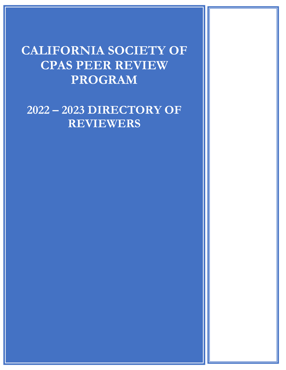# **CALIFORNIA SOCIETY OF CPAS PEER REVIEW PROGRAM**

**2022 – 2023 DIRECTORY OF REVIEWERS**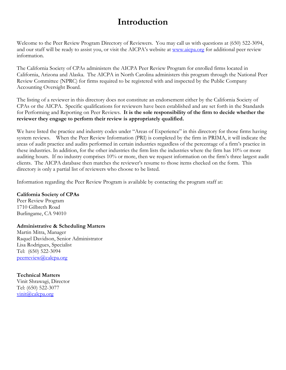# **Introduction**

Welcome to the Peer Review Program Directory of Reviewers. You may call us with questions at (650) 522-3094, and our staff will be ready to assist you, or visit the AICPA's website at [www.aicpa.org](http://www.aicpa.org/) for additional peer review information.

The California Society of CPAs administers the AICPA Peer Review Program for enrolled firms located in California, Arizona and Alaska. The AICPA in North Carolina administers this program through the National Peer Review Committee (NPRC) for firms required to be registered with and inspected by the Public Company Accounting Oversight Board.

The listing of a reviewer in this directory does not constitute an endorsement either by the California Society of CPAs or the AICPA. Specific qualifications for reviewers have been established and are set forth in the Standards for Performing and Reporting on Peer Reviews. **It is the sole responsibility of the firm to decide whether the reviewer they engage to perform their review is appropriately qualified.** 

We have listed the practice and industry codes under "Areas of Experience" in this directory for those firms having system reviews. When the Peer Review Information (PRI) is completed by the firm in PRIMA, it will indicate the areas of audit practice and audits performed in certain industries regardless of the percentage of a firm's practice in these industries. In addition, for the other industries the firm lists the industries where the firm has 10% or more auditing hours. If no industry comprises 10% or more, then we request information on the firm's three largest audit clients. The AICPA database then matches the reviewer's resume to those items checked on the form. This directory is only a partial list of reviewers who choose to be listed.

Information regarding the Peer Review Program is available by contacting the program staff at:

## **California Society of CPAs**

Peer Review Program 1710 Gilbreth Road Burlingame, CA 94010

## **Administrative & Scheduling Matters**

Martin Mitra, Manager Raquel Davidson, Senior Administrator Lisa Rodrigues, Specialist Tel: (650) 522-3094 [peerreview@calcpa.org](mailto:peerreview@calcpa.org) 

**Technical Matters** Vinit Shrawagi, Director Tel: (650) 522-3077 [vinit@calcpa.org](mailto:vinit@calcpa.org)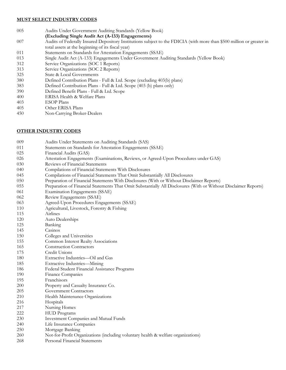#### **MUST SELECT INDUSTRY CODES**

- Audits Under Government Auditing Standards (Yellow Book)
- **(Excluding Single Audit Act (A-133) Engagements)**
- Audits of Federally Insured Depository Institutions subject to the FDICIA (with more than \$500 million or greater in total assets at the beginning of its fiscal year)
- Statements on Standards for Attestation Engagements (SSAE)
- Single Audit Act (A-133) Engagements Under Government Auditing Standards (Yellow Book)
- Service Organizations (SOC 1 Reports)
- Service Organizations (SOC 2 Reports)
- State & Local Governments
- Defined Contribution Plans Full & Ltd. Scope (excluding 403(b) plans)
- Defined Contribution Plans Full & Ltd. Scope (403 (b) plans only)
- Defined Benefit Plans Full & Ltd. Scope
- ERISA Health & Welfare Plans
- ESOP Plans
- Other ERISA Plans
- Non-Carrying Broker-Dealers

#### **OTHER INDUSTRY CODES**

- Audits Under Statements on Auditing Standards (SAS)
- Statements on Standards for Attestation Engagements (SSAE)
- Financial Audits (GAS)
- Attestation Engagements (Examinations, Reviews, or Agreed-Upon Procedures under GAS)
- 030 Reviews of Financial Statements
- Compilations of Financial Statements With Disclosures
- Compilations of Financial Statements That Omit Substantially All Disclosures
- Preparation of Financial Statements With Disclosures (With or Without Disclaimer Reports)
- Preparation of Financial Statements That Omit Substantially All Disclosures (With or Without Disclaimer Reports)
- Examination Engagements (SSAE)
- Review Engagements (SSAE)
- Agreed-Upon Procedures Engagements (SSAE)
- Agricultural, Livestock, Forestry & Fishing
- Airlines
- Auto Dealerships
- Banking
- Casinos
- Colleges and Universities
- Common Interest Realty Associations
- Construction Contractors
- Credit Unions
- Extractive Industries—Oil and Gas
- Extractive Industries—Mining
- Federal Student Financial Assistance Programs
- Finance Companies
- Franchisors
- Property and Casualty Insurance Co.
- Government Contractors
- Health Maintenance Organizations
- Hospitals
- Nursing Homes
- HUD Programs
- Investment Companies and Mutual Funds
- Life Insurance Companies
- Mortgage Banking
- Not-for-Profit Organizations (including voluntary health & welfare organizations)
- Personal Financial Statements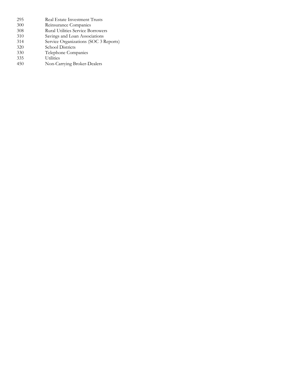| 295 | Real Estate Investment Trusts            |
|-----|------------------------------------------|
| 300 | Reinsurance Companies                    |
| 308 | <b>Rural Utilities Service Borrowers</b> |
| 310 | Savings and Loan Associations            |
| 314 | Service Organizations (SOC 3 Reports)    |
| 320 | School Districts                         |
| 330 | Telephone Companies                      |
| 335 | <b>Utilities</b>                         |
| 450 | Non-Carrying Broker-Dealers              |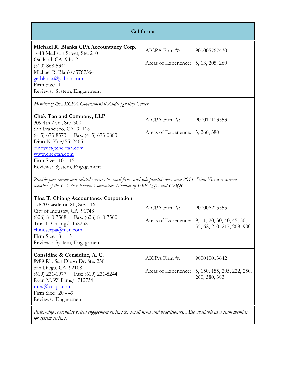| California                                                                                                                                                                                                                                           |                                                       |                                                                                               |
|------------------------------------------------------------------------------------------------------------------------------------------------------------------------------------------------------------------------------------------------------|-------------------------------------------------------|-----------------------------------------------------------------------------------------------|
| Michael R. Blanks CPA Accountancy Corp.<br>1448 Madison Street, Ste. 210<br>Oakland, CA 94612<br>$(510) 868 - 5340$<br>Michael R. Blanks/5767364<br>getblanks@yahoo.com<br>Firm Size: 1<br>Reviews: System, Engagement                               | AICPA Firm #:<br>Areas of Experience: 5, 13, 205, 260 | 900005767430                                                                                  |
| Member of the AICPA Governmental Audit Quality Center.                                                                                                                                                                                               |                                                       |                                                                                               |
| <b>Chek Tan and Company, LLP</b><br>309 4th Ave., Ste. 300<br>San Francisco, CA 94118<br>(415) 673-8573 Fax: (415) 673-0883<br>Dino K. Yue/5512465<br>dinoyue@chektan.com<br>www.chektan.com<br>Firm Size: $10-15$<br>Reviews: System, Engagement    | AICPA Firm #:<br>Areas of Experience: 5, 260, 380     | 900010103553                                                                                  |
| Provide peer review and related services to small firms and sole practitioners since 2011. Dino Yue is a current<br>member of the CA Peer Review Committee. Member of EBPAQC and GAQC.                                                               |                                                       |                                                                                               |
| Tina T. Chiang Accountancy Corporation<br>17870 Castleton St., Ste. 116<br>City of Industry, CA 91748<br>$(626)$ 810-7568<br>Fax: (626) 810-7560<br>Tina T. Chiang/5452252<br>chinesecpa@msn.com<br>Firm Size: $8-15$<br>Reviews: System, Engagement | AICPA Firm #:                                         | 900006205555<br>Areas of Experience: 9, 11, 20, 30, 40, 45, 50,<br>55, 62, 210, 217, 268, 900 |
| Considine & Considine, A. C.<br>8989 Rio San Diego Dr. Ste. 250<br>San Diego, CA 92108<br>$(619)$ 231-1977<br>Fax: (619) 231-8244<br>Ryan M. Williams/1712734<br>$\text{rmw}(a)$ cccpa.com<br>Firm Size: 20 - 49<br>Reviews: Engagement              | AICPA Firm #:                                         | 900010013642<br>Areas of Experience: 5, 150, 155, 205, 222, 250,<br>260, 380, 383             |
| Performing reasonably priced engagement reviews for small firms and practitioners. Also available as a team member<br>for system reviews.                                                                                                            |                                                       |                                                                                               |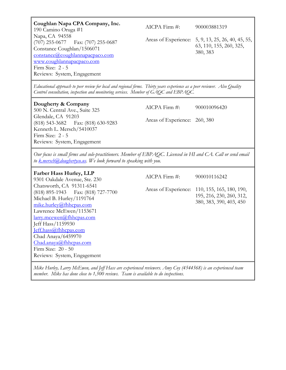| Coughlan Napa CPA Company, Inc.<br>190 Camino Oruga #1<br>Napa, CA 94558<br>$(707)$ 255-0677<br>Fax: (707) 255-0687<br>Constance Coughlan/1506071<br>constance@coughlannapacpaco.com<br>www.coughlannapacpaco.com<br>Firm Size: 2 - 5<br>Reviews: System, Engagement                                                                   | AICPA Firm #:                                  | 900003881319<br>Areas of Experience: 5, 9, 13, 25, 26, 40, 45, 55,<br>63, 110, 155, 260, 325,<br>380, 383 |
|----------------------------------------------------------------------------------------------------------------------------------------------------------------------------------------------------------------------------------------------------------------------------------------------------------------------------------------|------------------------------------------------|-----------------------------------------------------------------------------------------------------------|
| Educational approach to peer review for local and regional firms. Thirty years experience as a peer reviewer. Also Quality<br>Control consultation, inspection and monitoring services. Member of GAQC and EBPAQC.                                                                                                                     |                                                |                                                                                                           |
| Dougherty & Company<br>500 N. Central Ave., Suite 325<br>Glendale, CA 91203<br>(818) 543-3682 Fax: (818) 630-9283<br>Kenneth L. Mersch/5410037<br>Firm Size: 2 - 5<br>Reviews: System, Engagement                                                                                                                                      | AICPA Firm #:<br>Areas of Experience: 260, 380 | 900010096420                                                                                              |
| Our focus is small firms and sole-practitioners. Member of EBPAQC. Licensed in HI and CA. Call or send email<br>to <u>k.mersch@doughertyco.us</u> . We look forward to speaking with you.                                                                                                                                              |                                                |                                                                                                           |
| <b>Farber Hass Hurley, LLP</b><br>9301 Oakdale Avenue, Ste. 230                                                                                                                                                                                                                                                                        | AICPA Firm #:                                  | 900010116242                                                                                              |
| Chatsworth, CA 91311-6541<br>$(818)$ 895-1943<br>Fax: (818) 727-7700<br>Michael B. Hurley/1191764<br>mike.hurley@fhhcpas.com<br>Lawrence McEwen/1153671<br>larry.mcewen@fhhcpas.com<br>Jeff Hass/1159930<br>Jeff.hass@fhhcpas.com<br>Chad Anaya/6459970<br>Chad.anaya@fhhcpas.com<br>Firm Size: 20 - 50<br>Reviews: System, Engagement |                                                | Areas of Experience: 110, 155, 165, 180, 190,<br>195, 216, 230, 260, 312,<br>380, 383, 390, 403, 450      |
| Mike Hurley, Larry McEwen, and Jeff Hass are experienced reviewers. Amy Coy (4544568) is an experienced team                                                                                                                                                                                                                           |                                                |                                                                                                           |

*member. Mike has done close to 1,500 reviews. Team is available to do inspections.*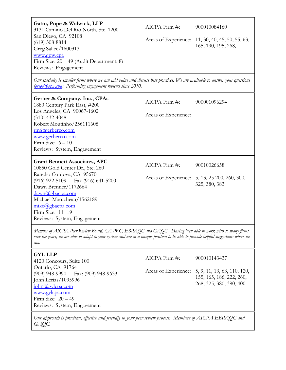**Gatto, Pope & Walwick, LLP** 3131 Camino Del Rio North, Ste. 1200 San Diego, CA 92108 (619) 308-8814 Greg Sallee/1600313 [www.gpw.cpa](http://www.gpw.cpa/)  Firm Size: 20 – 49 (Audit Department: 8) Reviews: Engagement

AICPA Firm #: 900010084160

Areas of Experience: 11, 30, 40, 45, 50, 55, 63, 165, 190, 195, 268,

*Our specialty is smaller firms where we can add value and discuss best practices. We are available to answer your questions [\(gregs@gpw.cpa\)](mailto:gregs@gpw.cpa). Performing engagement reviews since 2010.*

| Gerber & Company, Inc., CPAs<br>1880 Century Park East, #200<br>Los Angeles, CA 90067-1602<br>$(310)$ 432-4048<br>Robert Moutinho/256111608<br>rm@gerberco.com<br>www.gerberco.com<br>Firm Size: $6-10$<br>Reviews: System, Engagement                                                     | AICPA Firm $\#$ :<br>Areas of Experience: | 900001096294                                                                  |
|--------------------------------------------------------------------------------------------------------------------------------------------------------------------------------------------------------------------------------------------------------------------------------------------|-------------------------------------------|-------------------------------------------------------------------------------|
| <b>Grant Bennett Associates, APC</b><br>10850 Gold Center Dr., Ste. 260<br>Rancho Cordova, CA 95670<br>$(916)$ 922-5109 Fax $(916)$ 641-5200<br>Dawn Brenner/1172664<br>dawn@gbacpa.com<br>Michael Marucheau/1562189<br>mike@gbacpa.com<br>Firm Size: 11-19<br>Reviews: System, Engagement | $AICPA$ Firm $\#$ :                       | 90010026658<br>Areas of Experience: 5, 13, 25 200, 260, 300,<br>325, 380, 383 |

*Member of AICPA Peer Review Board, CA PRC, EBPAQC and GAQC. Having been able to work with so many firms over the years, we are able to adapt to your system and are in a unique position to be able to provide helpful suggestions where we can.*

| <b>GYL LLP</b><br>4120 Concours, Suite 100                                                                                                                                                   | $AICPA$ Firm $#$ : | 900010143437                                                                                            |
|----------------------------------------------------------------------------------------------------------------------------------------------------------------------------------------------|--------------------|---------------------------------------------------------------------------------------------------------|
| Ontario, CA 91764<br>(909) 948-9990 Fax: (909) 948-9633<br>John Lerias/1095996<br>$\frac{\text{iohn}(a)$ gylcpa.com<br>www.gylcpa.com<br>Firm Size: $20 - 49$<br>Reviews: System, Engagement |                    | Areas of Experience: 5, 9, 11, 13, 63, 110, 120,<br>155, 165, 186, 222, 260,<br>268, 325, 380, 390, 400 |
| Our approach is practical, effective and friendly to your peer review process. Members of AICPA EBPAQC and                                                                                   |                    |                                                                                                         |

*GAQC.*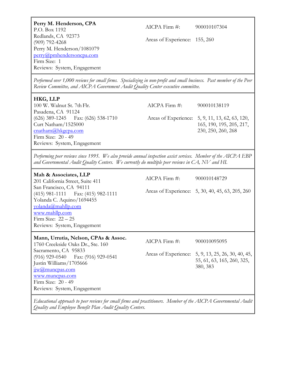| Perry M. Henderson, CPA<br>P.O. Box 1192<br>Redlands, CA 92373<br>$(909)$ 792-4268<br>Perry M. Henderson/1081079<br>perry@pmhendersoncpa.com<br>Firm Size: 1<br>Reviews: System, Engagement                                                                                                           | $AICPA$ Firm $\#$ :<br>Areas of Experience: 155, 260 | 900010107304                                                                                                      |
|-------------------------------------------------------------------------------------------------------------------------------------------------------------------------------------------------------------------------------------------------------------------------------------------------------|------------------------------------------------------|-------------------------------------------------------------------------------------------------------------------|
| Performed over 1,000 reviews for small firms. Specializing in non-profit and small business. Past member of the Peer<br>Review Committee, and AICPA Government Audit Quality Center executive committee.                                                                                              |                                                      |                                                                                                                   |
| HKG, LLP<br>100 W. Walnut St. 7th Flr.<br>Pasadena, CA 91124<br>$(626)$ 389-1245 Fax: $(626)$ 538-1710<br>Curt Natham/1525000<br>cnatham@hkgcpa.com<br>Firm Size: 20 - 49<br>Reviews: System, Engagement                                                                                              | AICPA Firm #:                                        | 900010138119<br>Areas of Experience: 5, 9, 11, 13, 62, 63, 120,<br>165, 190, 195, 205, 217,<br>230, 250, 260, 268 |
| Performing peer reviews since 1995. We also provide annual inspection assist services. Member of the AICPA EBP<br>and Governmental Audit Quality Centers. We currently do multiple peer reviews in CA, NV and HI.                                                                                     |                                                      |                                                                                                                   |
| Mah & Associates, LLP<br>201 California Street, Suite 411<br>San Francisco, CA 94111<br>(415) 981-1111   Fax: (415) 982-1111<br>Yolanda C. Aquino/1694455<br>yolanda@mahllp.com<br>www.mahllp.com<br>Firm Size: $22 - 25$                                                                             | $AICPA$ Firm $#$ :                                   | 900010148729<br>Areas of Experience: 5, 30, 40, 45, 63, 205, 260                                                  |
| Reviews: System, Engagement                                                                                                                                                                                                                                                                           |                                                      |                                                                                                                   |
| Mann, Urrutia, Nelson, CPAs & Assoc.<br>1760 Creekside Oaks Dr., Ste. 160<br>Sacramento, CA 95833<br>$(916)$ 929-0540<br>Fax: (916) 929-0541<br>Justin Williams/1705666<br>$\frac{\text{i} \text{j} \text{w}}{a}$ muncpas.com<br>www.muncpas.com<br>Firm Size: 20 - 49<br>Reviews: System, Engagement | AICPA Firm #:<br>Areas of Experience:                | 900010095095<br>5, 9, 13, 25, 26, 30, 40, 45,<br>55, 61, 63, 165, 260, 325,<br>380, 383                           |

*Educational approach to peer reviews for small firms and practitioners. Member of the AICPA Governmental Audit Quality and Employee Benefit Plan Audit Quality Centers.*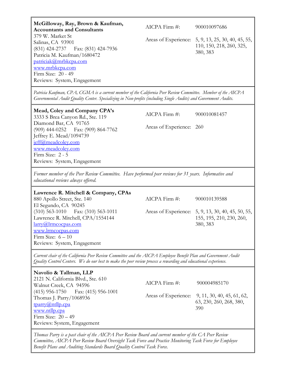| McGilloway, Ray, Brown & Kaufman,                                                                                                                                                                                                                                                         |                          |                                                                                            |
|-------------------------------------------------------------------------------------------------------------------------------------------------------------------------------------------------------------------------------------------------------------------------------------------|--------------------------|--------------------------------------------------------------------------------------------|
| <b>Accountants and Consultants</b>                                                                                                                                                                                                                                                        | $AICPA$ Firm $#$ :       | 900010097686                                                                               |
| 379 W. Market St<br>Salinas, CA 93901<br>$(831)$ 424-2737<br>Fax: (831) 424-7936<br>Patricia M. Kaufman/1680472<br>patriciak@mrbkcpa.com<br>www.mrbkcpa.com<br>Firm Size: 20 - 49<br>Reviews: System, Engagement                                                                          |                          | Areas of Experience: 5, 9, 13, 25, 30, 40, 45, 55,<br>110, 150, 218, 260, 325,<br>380, 383 |
|                                                                                                                                                                                                                                                                                           |                          |                                                                                            |
| Patricia Kaufman, CPA, CGMA is a current member of the California Peer Review Committee. Member of the AICPA<br>Governmental Audit Quality Center. Specializing in Non-profits (including Single Audits) and Government Audits.                                                           |                          |                                                                                            |
| Mead, Coley and Company CPA's<br>3333 S Brea Canyon Rd., Ste. 119                                                                                                                                                                                                                         | AICPA Firm #:            | 900010081457                                                                               |
| Diamond Bar, CA 91765<br>(909) 444-0252  Fax: (909) 864-7762<br>Jeffrey E. Mead/1094739<br>jeff@meadcoley.com<br>www.meadcoley.com<br>Firm Size: 2 - 5<br>Reviews: System, Engagement                                                                                                     | Areas of Experience: 260 |                                                                                            |
| Former member of the Peer Review Committee. Have performed peer reviews for 31 years. Informative and<br>educational reviews always offered.                                                                                                                                              |                          |                                                                                            |
| Lawrence R. Mitchell & Company, CPAs<br>880 Apollo Street, Ste. 140                                                                                                                                                                                                                       | AICPA Firm #:            | 900010139588                                                                               |
| El Segundo, CA 90245<br>(310) 563-1010 Fax: (310) 563-1011<br>Lawrence R. Mitchell, CPA/1554144<br>$larrow@$ <i>lrmcocpas.com</i><br>www.lrmcocpas.com<br>Firm Size: $6 - 10$<br>Reviews: System, Engagement                                                                              |                          | Areas of Experience: 5, 9, 13, 30, 40, 45, 50, 55,<br>155, 195, 210, 230, 260,<br>380, 383 |
| Current chair of the California Peer Review Committee and the AICPA Employee Benefit Plan and Government Audit<br>Quality Control Centers. We do our best to make the peer review process a rewarding and educational experience.                                                         |                          |                                                                                            |
| Navolio & Tallman, LLP                                                                                                                                                                                                                                                                    |                          |                                                                                            |
| 2121 N. California Blvd., Ste. 610<br>Walnut Creek, CA 94596                                                                                                                                                                                                                              | AICPA Firm #:            | 900004985170                                                                               |
| $(415)$ 956-1750<br>Fax: (415) 956-1001<br>Thomas J. Parry/1068936<br>tparry@ntllp.cpa<br>www.ntllp.cpa<br>Firm Size: $20 - 49$<br>Reviews: System, Engagement                                                                                                                            |                          | Areas of Experience: 9, 11, 30, 40, 45, 61, 62,<br>63, 230, 260, 268, 380,<br>390          |
| Thomas Parry is a past chair of the AICPA Peer Review Board and current member of the CA Peer Review<br>Committee, AICPA Peer Review Board Oversight Task Force and Practice Monitoring Task Force for Employee<br>Benefit Plans and Auditing Standards Board Quality Control Task Force. |                          |                                                                                            |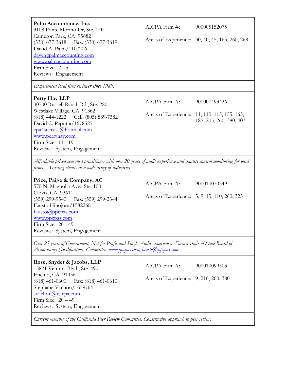| Palm Accountancy, Inc.<br>3108 Ponte Morino Dr, Ste. 140<br>Cameron Park, CA 95682<br>(530) 677-3618 Fax: (530) 677-3619<br>David A. Palm/1107206<br>dave@palmaccounting.com<br>www.palmaccounting.com<br>Firm Size: 2 - 5<br>Reviews: Engagement         | AICPA Firm #:                                          | 900005152075<br>Areas of Experience: 30, 40, 45, 165, 260, 268                          |
|-----------------------------------------------------------------------------------------------------------------------------------------------------------------------------------------------------------------------------------------------------------|--------------------------------------------------------|-----------------------------------------------------------------------------------------|
| Experienced local firm reviewer since 1989.                                                                                                                                                                                                               |                                                        |                                                                                         |
| Perry Hay LLP<br>30700 Russell Ranch Rd., Ste. 280<br>Westlake Village, CA 91362<br>$(818)$ 444-1222<br>Cell: (805) 889-7382<br>David C. Papotta/1678525                                                                                                  | $AICPA$ Firm $#$ :                                     | 900007493436<br>Areas of Experience: 11, 110, 115, 155, 165,<br>185, 205, 260, 380, 403 |
| cpa4success@hotmail.com<br>www.perryhay.com<br>Firm Size: 11 - 19<br>Reviews: System, Engagement                                                                                                                                                          |                                                        |                                                                                         |
| Affordable priced seasoned practitioner with over 20 years of audit experience and quality control monitoring for local<br>firms. Assisting clients in a wide array of industries.                                                                        |                                                        |                                                                                         |
| Price, Paige & Company, AC<br>570 N. Magnolia Ave., Ste. 100<br>Clovis, CA 93611<br>(559) 299-9540 Fax: (559) 299-2344<br>Fausto Hinojosa/1582268<br>$f$ austo $\omega$ ppcpas.com<br>www.ppcpas.com<br>Firm Size: 20 - 49<br>Reviews: System, Engagement | AICPA Firm #:                                          | 900010070349<br>Areas of Experience: 5, 9, 13, 110, 260, 325                            |
| Over 25 years of Government, Not-for-Profit and Single Audit experience. Former chair of State Board of                                                                                                                                                   |                                                        |                                                                                         |
| Rose, Snyder & Jacobs, LLP<br>15821 Ventura Blvd., Ste. 490<br>Encino, CA 91436<br>$(818)$ 461-0600<br>Fax: (818) 461-0610<br>Stephane Vachon/1659764<br>$s$ vachon $(a)$ rsjcpa.com<br>Firm Size: $20 - 49$<br>Reviews: System, Engagement               | AICPA Firm #:<br>Areas of Experience: 9, 210, 260, 380 | 900010099503                                                                            |
| Current member of the California Peer Review Committee. Constructive approach to peer review.                                                                                                                                                             |                                                        |                                                                                         |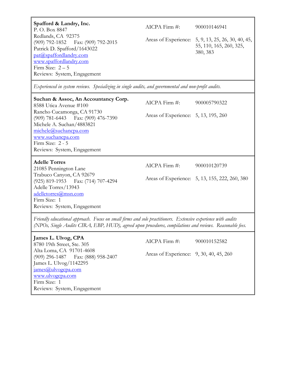| Spafford & Landry, Inc.<br>P.O. Box 8847<br>Redlands, CA 92375<br>(909) 792-1852   Fax: (909) 792-2015<br>Patrick D. Spafford/1643022<br>pat@spaffordlandry.com<br>www.spaffordlandry.com<br>Firm Size: $2-5$<br>Reviews: System, Engagement | AICPA Firm #:                                         | 900010146941<br>Areas of Experience: 5, 9, 13, 25, 26, 30, 40, 45,<br>55, 110, 165, 260, 325,<br>380, 383 |
|----------------------------------------------------------------------------------------------------------------------------------------------------------------------------------------------------------------------------------------------|-------------------------------------------------------|-----------------------------------------------------------------------------------------------------------|
| Experienced in system reviews. Specializing in single audits, and governmental and non-profit audits.                                                                                                                                        |                                                       |                                                                                                           |
| Suchan & Assoc, An Accountancy Corp.<br>8588 Utica Avenue #100<br>Rancho Cucamonga, CA 91730<br>(909) 781-6443 Fax: (909) 476-7390<br>Michele A. Suchan/4883821<br>michele@suchancpa.com                                                     | AICPA Firm #:<br>Areas of Experience: 5, 13, 195, 260 | 900005790322                                                                                              |
| www.suchancpa.com<br>Firm Size: 2 - 5<br>Reviews: System, Engagement                                                                                                                                                                         |                                                       |                                                                                                           |
| <b>Adelle Torres</b><br>21085 Pennington Lane                                                                                                                                                                                                | AICPA Firm #:                                         | 900010120739                                                                                              |
| Trabuco Canyon, CA 92679<br>(925) 819-1953 Fax: (714) 707-4294<br>Adelle Torres/13943<br>adelletorres@msn.com<br>Firm Size: 1<br>Reviews: System, Engagement                                                                                 |                                                       | Areas of Experience: 5, 13, 155, 222, 260, 380                                                            |
| Friendly educational approach. Focus on small firms and sole practitioners. Extensive experience with audits<br>(NPOs, Single Audits CIRA, EBP, HUD), agreed upon procedures, compilations and reviews. Reasonable fees.                     |                                                       |                                                                                                           |
| James L. Ulvog, CPA<br>8780 19th Street, Ste. 305                                                                                                                                                                                            | AICPA Firm #:                                         | 900010152582                                                                                              |
| Alta Loma, CA 91701-4608<br>$(909)$ 296-1487<br>Fax: (888) 958-2407<br>James L. Ulvog/1142295<br>james@ulvogcpa.com<br>www.ulvogcpa.com<br>Firm Size: 1<br>Reviews: System, Engagement                                                       | Areas of Experience: 9, 30, 40, 45, 260               |                                                                                                           |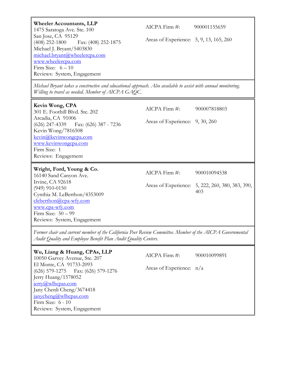| <b>Wheeler Accountants, LLP</b><br>1475 Saratoga Ave. Ste. 100<br>San Jose, CA 95129<br>$(408)$ 252-1800<br>Fax: (408) 252-1875<br>Michael J. Bryant/5403830<br>michael.bryant@wheelercpa.com<br>www.wheelercpa.com<br>Firm Size: $6-10$<br>Reviews: System, Engagement | $AICPA$ Firm $\#$ :<br>Areas of Experience: 5, 9, 13, 165, 260 | 900001155659                                                            |
|-------------------------------------------------------------------------------------------------------------------------------------------------------------------------------------------------------------------------------------------------------------------------|----------------------------------------------------------------|-------------------------------------------------------------------------|
| Michael Bryant takes a constructive and educational approach. Also available to assist with annual monitoring,<br>Willing to travel as needed. Member of AICPA GAQC.                                                                                                    |                                                                |                                                                         |
| Kevin Wong, CPA<br>301 E. Foothill Blvd. Ste. 202<br>Arcadia, CA 91006<br>$(626)$ 247-4339 Fax: $(626)$ 387 - 7236<br>Kevin Wong/7816508<br>kevin@kevinwongcpa.com<br>www.kevinwongcpa.com<br>Firm Size: 1<br>Reviews: Engagement                                       | AICPA Firm #:<br>Areas of Experience: 9, 30, 260               | 900007818803                                                            |
| Wright, Ford, Young & Co.<br>16140 Sand Canyon Ave.<br>Irvine, CA 92618<br>$(949)$ 910-0150<br>Cynthia M. LeBerthon/4353009<br>cleberthon@cpa-wfy.com<br>www.cpa-wfy.com<br>Firm Size: $50-99$<br>Reviews: System, Engagement                                           | AICPA Firm #:                                                  | 900010094538<br>Areas of Experience: 5, 222, 260, 380, 383, 390,<br>403 |
| Former chair and current member of the California Peer Review Committee. Member of the AICPA Governmental<br>Audit Quality and Employee Benefit Plan Audit Quality Centers.                                                                                             |                                                                |                                                                         |
| Wu, Liang & Huang, CPAs, LLP<br>10050 Garvey Avenue, Ste. 207<br>El Monte, CA 91733-2093<br>$(626)$ 579-1275<br>Fax: (626) 579-1276<br>Jerry Huang/1578052<br>jerry@wlhcpas.com                                                                                         | AICPA Firm #:<br>Areas of Experience: n/a                      | 900010099891                                                            |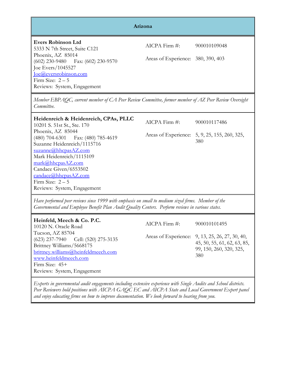|                                                                                                                                                                                                                                                                          | Arizona                                             |                                                                                                                  |
|--------------------------------------------------------------------------------------------------------------------------------------------------------------------------------------------------------------------------------------------------------------------------|-----------------------------------------------------|------------------------------------------------------------------------------------------------------------------|
| <b>Evers Robinson Ltd</b><br>5333 N 7th Street, Suite C121<br>Phoenix, AZ 85014<br>$(602)$ 230-9480 Fax: $(602)$ 230-9570<br>Joe Evers/1045527<br>loe@eversrobinson.com<br>Firm Size: $2-5$<br>Reviews: System, Engagement                                               | AICPA Firm #:<br>Areas of Experience: 380, 390, 403 | 900010109048                                                                                                     |
| Member EBPAQC, current member of CA Peer Review Committee, former member of AZ Peer Review Oversight<br>Committee.                                                                                                                                                       |                                                     |                                                                                                                  |
| Heidenreich & Heidenreich, CPAs, PLLC<br>10201 S. 51st St., Ste. 170                                                                                                                                                                                                     | $AICPA$ Firm $#$ :                                  | 900010117486                                                                                                     |
| Phoenix, AZ 85044<br>Fax: (480) 785-4619<br>$(480)$ 704-6301<br>Suzanne Heidenreich/1115716<br>suzanne@hhcpasAZ.com<br>Mark Heidenreich/1115109<br>mark@hhcpasAZ.com<br>Candace Given/6553502<br>candace@hhcpasAZ.com<br>Firm Size: $2-5$<br>Reviews: System, Engagement |                                                     | Areas of Experience: 5, 9, 25, 155, 260, 325,<br>380                                                             |
| Have performed peer reviews since 1999 with emphasis on small to medium sized firms. Member of the<br>Governmental and Employee Benefit Plan Audit Quality Centers. Perform reviews in various states.                                                                   |                                                     |                                                                                                                  |
| Heinfeld, Meech & Co. P.C.<br>10120 N. Oracle Road                                                                                                                                                                                                                       | AICPA Firm #:                                       | 900010101495                                                                                                     |
| Tucson, AZ 85704<br>$(623)$ 237-7940<br>Cell: (520) 275-3135<br>Brittney Williams/5668175<br>brittney.williams@heinfeldmeech.com<br>www.heinfeldmeech.com<br>Firm Size: 45+<br>Reviews: System, Engagement                                                               |                                                     | Areas of Experience: 9, 13, 25, 26, 27, 30, 40,<br>45, 50, 55, 61, 62, 63, 85,<br>99, 150, 260, 320, 325,<br>380 |

*Experts in governmental audit engagements including extensive experience with Single Audits and School districts. Peer Reviewers hold positions with AICPA GAQC EC and AICPA State and Local Government Expert panel and enjoy educating firms on how to improve documentation. We look forward to hearing from you.*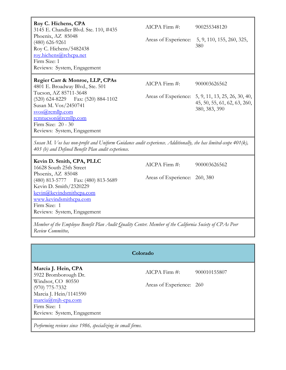| Roy C. Hichens, CPA<br>3145 E. Chandler Blvd. Ste. 110, #435<br>Phoenix, AZ 85048<br>$(480)$ 626-9261<br>Roy C. Hichens/5482438<br>roy.hichens@rchcpa.net<br>Firm Size: 1<br>Reviews: System, Engagement         | AICPA Firm #:<br>Areas of Experience: | 900255348120<br>5, 9, 110, 155, 260, 325,<br>380                                                                    |
|------------------------------------------------------------------------------------------------------------------------------------------------------------------------------------------------------------------|---------------------------------------|---------------------------------------------------------------------------------------------------------------------|
| Regier Carr & Monroe, LLP, CPAs<br>4801 E. Broadway Blvd., Ste. 501<br>Tucson, AZ 85711-3648<br>$(520)$ 624-8229<br>Fax: (520) 884-1102<br>Susan M. Vos/2450741<br>$s\nu$ os @rcmllp.com<br>rcmtucson@rcmllp.com | AICPA Firm #:                         | 900003626562<br>Areas of Experience: 5, 9, 11, 13, 25, 26, 30, 40,<br>45, 50, 55, 61, 62, 63, 260,<br>380, 383, 390 |
| Firm Size: 20 - 30<br>Reviews: System, Engagement                                                                                                                                                                |                                       |                                                                                                                     |
| Susan M. Vos has non-profit and Uniform Guidance audit experience. Additionally, she has limited-scope 401(k),<br>403 (b) and Defined Benefit Plan audit experience.                                             |                                       |                                                                                                                     |
| Kevin D. Smith, CPA, PLLC<br>16628 South 25th Street                                                                                                                                                             | AICPA Firm #:                         | 900003626562                                                                                                        |
| Phoenix, AZ 85048<br>$(480)$ 813-5777<br>Fax: (480) 813-5689<br>Kevin D. Smith/2320229<br>kevin@kevindsmithcpa.com<br>www.kevindsmithcpa.com<br>Firm Size: 1<br>Reviews: System, Engagement                      | Areas of Experience:                  | 260, 380                                                                                                            |
| Member of the Employee Benefit Plan Audit Quality Center. Member of the California Society of CPAs Peer<br>Review Committee,                                                                                     |                                       |                                                                                                                     |

| Colorado                                                                                                                                                                                                             |                                                |              |  |  |
|----------------------------------------------------------------------------------------------------------------------------------------------------------------------------------------------------------------------|------------------------------------------------|--------------|--|--|
| Marcia J. Hein, CPA<br>5922 Bromborough Dr.<br>Windsor, CO 80550<br>$(970)$ 775-7332<br>Marcia J. Hein/1141590<br>$\frac{\text{macro}(a)}{\text{min}-\text{cpa.com}}$<br>Firm Size: 1<br>Reviews: System, Engagement | $AICPA$ Firm $#$ :<br>Areas of Experience: 260 | 900010155807 |  |  |
| Performing reviews since 1986, specializing in small firms.                                                                                                                                                          |                                                |              |  |  |